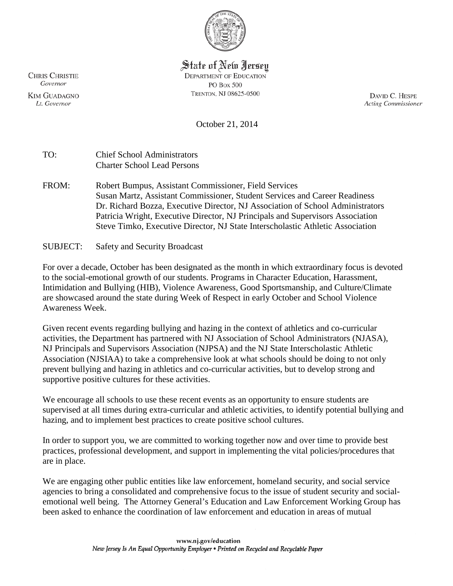

## State of New Jersey

**DEPARTMENT OF EDUCATION** PO Box 500 TRENTON, NJ 08625-0500

DAVID C. HESPE **Acting Commissioner** 

October 21, 2014

| TO:   | <b>Chief School Administrators</b><br><b>Charter School Lead Persons</b>                                                                                                                                                                                                                                                                                                                  |
|-------|-------------------------------------------------------------------------------------------------------------------------------------------------------------------------------------------------------------------------------------------------------------------------------------------------------------------------------------------------------------------------------------------|
| FROM: | Robert Bumpus, Assistant Commissioner, Field Services<br>Susan Martz, Assistant Commissioner, Student Services and Career Readiness<br>Dr. Richard Bozza, Executive Director, NJ Association of School Administrators<br>Patricia Wright, Executive Director, NJ Principals and Supervisors Association<br>Steve Timko, Executive Director, NJ State Interscholastic Athletic Association |
|       |                                                                                                                                                                                                                                                                                                                                                                                           |

SUBJECT: Safety and Security Broadcast

For over a decade, October has been designated as the month in which extraordinary focus is devoted to the social-emotional growth of our students. Programs in Character Education, Harassment, Intimidation and Bullying (HIB), Violence Awareness, Good Sportsmanship, and Culture/Climate are showcased around the state during Week of Respect in early October and School Violence Awareness Week.

Given recent events regarding bullying and hazing in the context of athletics and co-curricular activities, the Department has partnered with NJ Association of School Administrators (NJASA), NJ Principals and Supervisors Association (NJPSA) and the NJ State Interscholastic Athletic Association (NJSIAA) to take a comprehensive look at what schools should be doing to not only prevent bullying and hazing in athletics and co-curricular activities, but to develop strong and supportive positive cultures for these activities.

We encourage all schools to use these recent events as an opportunity to ensure students are supervised at all times during extra-curricular and athletic activities, to identify potential bullying and hazing, and to implement best practices to create positive school cultures.

In order to support you, we are committed to working together now and over time to provide best practices, professional development, and support in implementing the vital policies/procedures that are in place.

We are engaging other public entities like law enforcement, homeland security, and social service agencies to bring a consolidated and comprehensive focus to the issue of student security and socialemotional well being. The Attorney General's Education and Law Enforcement Working Group has been asked to enhance the coordination of law enforcement and education in areas of mutual

**CHRIS CHRISTIE** Governor

**KIM GUADAGNO** Lt. Governor